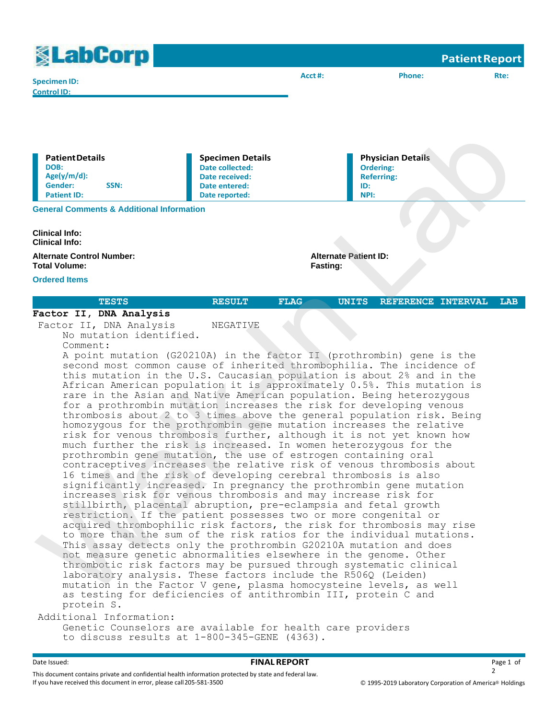| <b>KabCorp</b>                                                                                  |                                                                                                        |             |                                                                                  | <b>Patient Report</b>         |  |  |
|-------------------------------------------------------------------------------------------------|--------------------------------------------------------------------------------------------------------|-------------|----------------------------------------------------------------------------------|-------------------------------|--|--|
| <b>Specimen ID:</b><br><b>Control ID:</b>                                                       |                                                                                                        | Acct#:      | <b>Phone:</b>                                                                    | Rte:                          |  |  |
| <b>Patient Details</b><br>DOB:<br>Age(y/m/d):<br>Gender:<br>SSN:<br><b>Patient ID:</b>          | <b>Specimen Details</b><br><b>Date collected:</b><br>Date received:<br>Date entered:<br>Date reported: |             | <b>Physician Details</b><br><b>Ordering:</b><br><b>Referring:</b><br>ID:<br>NPI: |                               |  |  |
| <b>General Comments &amp; Additional Information</b><br>Clinical Info:<br><b>Clinical Info:</b> |                                                                                                        |             |                                                                                  |                               |  |  |
| <b>Alternate Control Number:</b><br><b>Total Volume:</b><br><b>Ordered Items</b>                | <b>Alternate Patient ID:</b><br><b>Fasting:</b>                                                        |             |                                                                                  |                               |  |  |
| <b>TESTS</b><br>$\sim$ $\sim$ $\sim$ $\sim$ $\sim$ $\sim$ $\sim$<br>--                          | <b>RESULT</b>                                                                                          | <b>FLAG</b> | <b>UNITS</b><br><b>REFERENCE</b>                                                 | <b>INTERVAL</b><br><b>LAB</b> |  |  |

## **Factor II, DNA Analysis**

Factor II, DNA Analysis NEGATIVE No mutation identified.

Comment: A point mutation (G20210A) in the factor II (prothrombin) gene is the second most common cause of inherited thrombophilia. The incidence of this mutation in the U.S. Caucasian population is about 2% and in the African American population it is approximately 0.5%. This mutation is rare in the Asian and Native American population. Being heterozygous for a prothrombin mutation increases the risk for developing venous thrombosis about 2 to 3 times above the general population risk. Being homozygous for the prothrombin gene mutation increases the relative risk for venous thrombosis further, although it is not yet known how much further the risk is increased. In women heterozygous for the prothrombin gene mutation, the use of estrogen containing oral contraceptives increases the relative risk of venous thrombosis about 16 times and the risk of developing cerebral thrombosis is also significantly increased. In pregnancy the prothrombin gene mutation increases risk for venous thrombosis and may increase risk for stillbirth, placental abruption, pre-eclampsia and fetal growth restriction. If the patient possesses two or more congenital or acquired thrombophilic risk factors, the risk for thrombosis may rise to more than the sum of the risk ratios for the individual mutations. This assay detects only the prothrombin G20210A mutation and does not measure genetic abnormalities elsewhere in the genome. Other thrombotic risk factors may be pursued through systematic clinical laboratory analysis. These factors include the R506Q (Leiden) mutation in the Factor V gene, plasma homocysteine levels, as well as testing for deficiencies of antithrombin III, protein C and protein S. Walk-In Lab

## Additional Information:

Genetic Counselors are available for health care providers to discuss results at 1-800-345-GENE (4363).